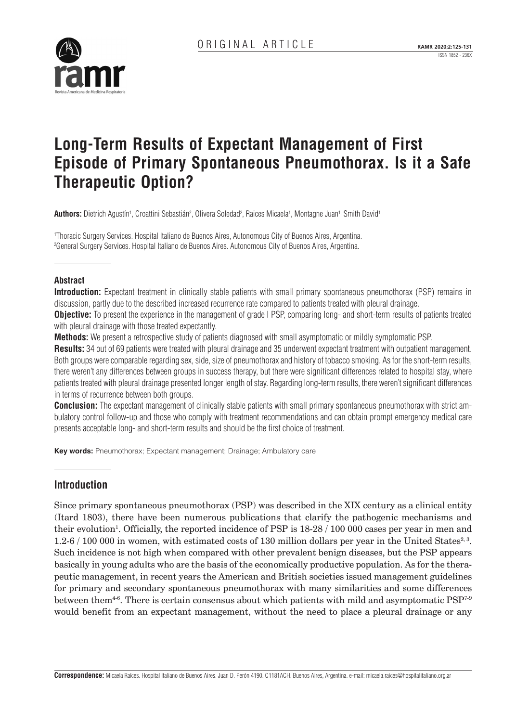

# **Long-Term Results of Expectant Management of First Episode of Primary Spontaneous Pneumothorax. Is it a Safe Therapeutic Option?**

**Authors:** Dietrich Agustín<sup>1</sup>, Croattini Sebastián<sup>2</sup>, Olivera Soledad<sup>2</sup>, Raices Micaela<sup>1</sup>, Montagne Juan<sup>1,</sup> Smith David<sup>1</sup>

1 Thoracic Surgery Services. Hospital Italiano de Buenos Aires, Autonomous City of Buenos Aires, Argentina. 2 General Surgery Services. Hospital Italiano de Buenos Aires. Autonomous City of Buenos Aires, Argentina.

# **Abstract**

**Introduction:** Expectant treatment in clinically stable patients with small primary spontaneous pneumothorax (PSP) remains in discussion, partly due to the described increased recurrence rate compared to patients treated with pleural drainage.

**Objective:** To present the experience in the management of grade I PSP, comparing long- and short-term results of patients treated with pleural drainage with those treated expectantly.

**Methods:** We present a retrospective study of patients diagnosed with small asymptomatic or mildly symptomatic PSP.

**Results:** 34 out of 69 patients were treated with pleural drainage and 35 underwent expectant treatment with outpatient management. Both groups were comparable regarding sex, side, size of pneumothorax and history of tobacco smoking. As for the short-term results, there weren't any differences between groups in success therapy, but there were significant differences related to hospital stay, where patients treated with pleural drainage presented longer length of stay. Regarding long-term results, there weren't significant differences in terms of recurrence between both groups.

**Conclusion:** The expectant management of clinically stable patients with small primary spontaneous pneumothorax with strict ambulatory control follow-up and those who comply with treatment recommendations and can obtain prompt emergency medical care presents acceptable long- and short-term results and should be the first choice of treatment.

**Key words:** Pneumothorax; Expectant management; Drainage; Ambulatory care

# **Introduction**

Since primary spontaneous pneumothorax (PSP) was described in the XIX century as a clinical entity (Itard 1803), there have been numerous publications that clarify the pathogenic mechanisms and their evolution<sup>1</sup>. Officially, the reported incidence of PSP is  $18-28$  / 100 000 cases per year in men and 1.2-6 / 100 000 in women, with estimated costs of 130 million dollars per year in the United States<sup>2, 3</sup>. Such incidence is not high when compared with other prevalent benign diseases, but the PSP appears basically in young adults who are the basis of the economically productive population. As for the therapeutic management, in recent years the American and British societies issued management guidelines for primary and secondary spontaneous pneumothorax with many similarities and some differences between them<sup>4-6</sup>. There is certain consensus about which patients with mild and asymptomatic  $PSP<sup>7-9</sup>$ would benefit from an expectant management, without the need to place a pleural drainage or any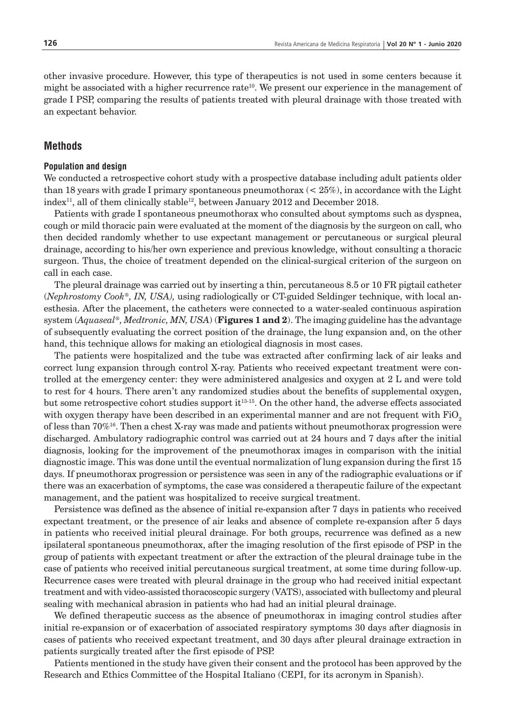other invasive procedure. However, this type of therapeutics is not used in some centers because it might be associated with a higher recurrence rate<sup>10</sup>. We present our experience in the management of grade I PSP, comparing the results of patients treated with pleural drainage with those treated with an expectant behavior.

# **Methods**

#### **Population and design**

We conducted a retrospective cohort study with a prospective database including adult patients older than 18 years with grade I primary spontaneous pneumothorax  $(< 25\%)$ , in accordance with the Light index<sup>11</sup>, all of them clinically stable<sup>12</sup>, between January 2012 and December 2018.

Patients with grade I spontaneous pneumothorax who consulted about symptoms such as dyspnea, cough or mild thoracic pain were evaluated at the moment of the diagnosis by the surgeon on call, who then decided randomly whether to use expectant management or percutaneous or surgical pleural drainage, according to his/her own experience and previous knowledge, without consulting a thoracic surgeon. Thus, the choice of treatment depended on the clinical-surgical criterion of the surgeon on call in each case.

The pleural drainage was carried out by inserting a thin, percutaneous 8.5 or 10 FR pigtail catheter (*Nephrostomy Cook®, IN, USA),* using radiologically or CT-guided Seldinger technique, with local anesthesia. After the placement, the catheters were connected to a water-sealed continuous aspiration system (*Aquaseal®, Medtronic, MN, USA*) (**Figures 1 and 2**). The imaging guideline has the advantage of subsequently evaluating the correct position of the drainage, the lung expansion and, on the other hand, this technique allows for making an etiological diagnosis in most cases.

The patients were hospitalized and the tube was extracted after confirming lack of air leaks and correct lung expansion through control X-ray. Patients who received expectant treatment were controlled at the emergency center: they were administered analgesics and oxygen at 2 L and were told to rest for 4 hours. There aren't any randomized studies about the benefits of supplemental oxygen, but some retrospective cohort studies support  $it^{13-15}$ . On the other hand, the adverse effects associated with oxygen therapy have been described in an experimental manner and are not frequent with FiO<sub>2</sub> of less than 70%16. Then a chest X-ray was made and patients without pneumothorax progression were discharged. Ambulatory radiographic control was carried out at 24 hours and 7 days after the initial diagnosis, looking for the improvement of the pneumothorax images in comparison with the initial diagnostic image. This was done until the eventual normalization of lung expansion during the first 15 days. If pneumothorax progression or persistence was seen in any of the radiographic evaluations or if there was an exacerbation of symptoms, the case was considered a therapeutic failure of the expectant management, and the patient was hospitalized to receive surgical treatment.

Persistence was defined as the absence of initial re-expansion after 7 days in patients who received expectant treatment, or the presence of air leaks and absence of complete re-expansion after 5 days in patients who received initial pleural drainage. For both groups, recurrence was defined as a new ipsilateral spontaneous pneumothorax, after the imaging resolution of the first episode of PSP in the group of patients with expectant treatment or after the extraction of the pleural drainage tube in the case of patients who received initial percutaneous surgical treatment, at some time during follow-up. Recurrence cases were treated with pleural drainage in the group who had received initial expectant treatment and with video-assisted thoracoscopic surgery (VATS), associated with bullectomy and pleural sealing with mechanical abrasion in patients who had had an initial pleural drainage.

We defined therapeutic success as the absence of pneumothorax in imaging control studies after initial re-expansion or of exacerbation of associated respiratory symptoms 30 days after diagnosis in cases of patients who received expectant treatment, and 30 days after pleural drainage extraction in patients surgically treated after the first episode of PSP.

Patients mentioned in the study have given their consent and the protocol has been approved by the Research and Ethics Committee of the Hospital Italiano (CEPI, for its acronym in Spanish).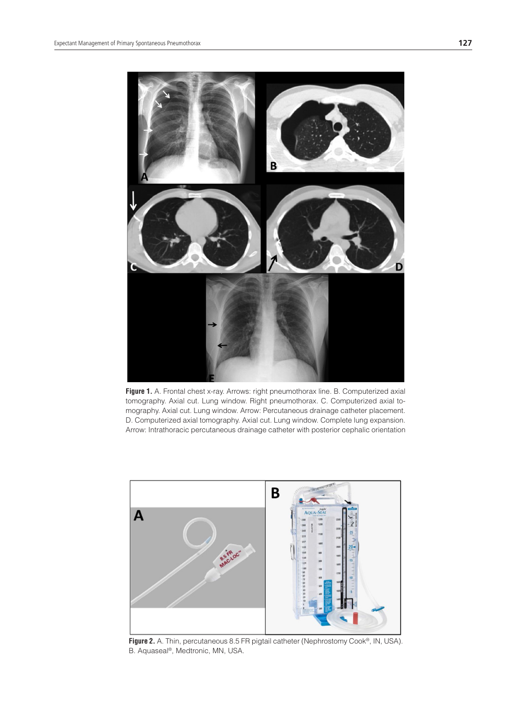

Figure 1. A. Frontal chest x-ray. Arrows: right pneumothorax line. B. Computerized axial tomography. Axial cut. Lung window. Right pneumothorax. C. Computerized axial tomography. Axial cut. Lung window. Arrow: Percutaneous drainage catheter placement. D. Computerized axial tomography. Axial cut. Lung window. Complete lung expansion. Arrow: Intrathoracic percutaneous drainage catheter with posterior cephalic orientation



**Figure 2.** A. Thin, percutaneous 8.5 FR pigtail catheter (Nephrostomy Cook®, IN, USA). B. Aquaseal®, Medtronic, MN, USA.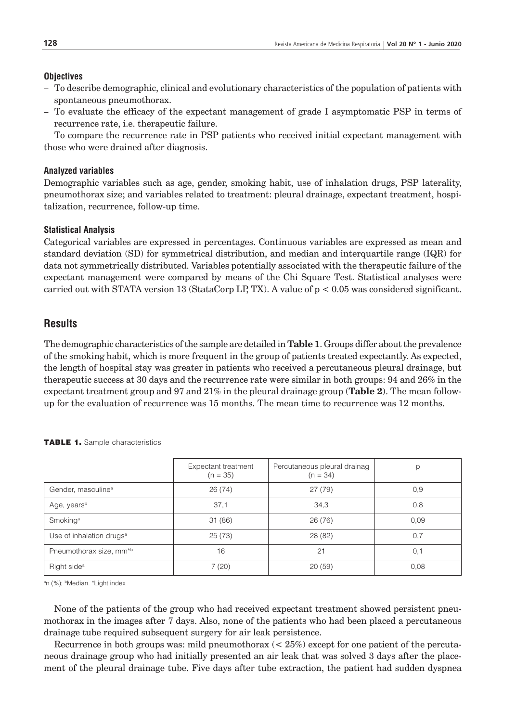#### **Objectives**

- To describe demographic, clinical and evolutionary characteristics of the population of patients with spontaneous pneumothorax.
- To evaluate the efficacy of the expectant management of grade I asymptomatic PSP in terms of recurrence rate, i.e. therapeutic failure.

To compare the recurrence rate in PSP patients who received initial expectant management with those who were drained after diagnosis.

#### **Analyzed variables**

Demographic variables such as age, gender, smoking habit, use of inhalation drugs, PSP laterality, pneumothorax size; and variables related to treatment: pleural drainage, expectant treatment, hospitalization, recurrence, follow-up time.

#### **Statistical Analysis**

Categorical variables are expressed in percentages. Continuous variables are expressed as mean and standard deviation (SD) for symmetrical distribution, and median and interquartile range (IQR) for data not symmetrically distributed. Variables potentially associated with the therapeutic failure of the expectant management were compared by means of the Chi Square Test. Statistical analyses were carried out with STATA version 13 (StataCorp LP, TX). A value of  $p < 0.05$  was considered significant.

# **Results**

The demographic characteristics of the sample are detailed in **Table 1**. Groups differ about the prevalence of the smoking habit, which is more frequent in the group of patients treated expectantly. As expected, the length of hospital stay was greater in patients who received a percutaneous pleural drainage, but therapeutic success at 30 days and the recurrence rate were similar in both groups: 94 and 26% in the expectant treatment group and 97 and 21% in the pleural drainage group (**Table 2**). The mean followup for the evaluation of recurrence was 15 months. The mean time to recurrence was 12 months.

|                                      | Expectant treatment<br>$(n = 35)$ | Percutaneous pleural drainag<br>$(n = 34)$ | р    |
|--------------------------------------|-----------------------------------|--------------------------------------------|------|
| Gender, masculine <sup>a</sup>       | 26(74)                            | 27(79)                                     | 0,9  |
| Age, years <sup>b</sup>              | 37,1                              | 34,3                                       | 0,8  |
| Smoking <sup>a</sup>                 | 31(86)                            | 26(76)                                     | 0,09 |
| Use of inhalation drugs <sup>a</sup> | 25(73)                            | 28 (82)                                    | 0,7  |
| Pneumothorax size, mm <sup>*b</sup>  | 16                                | 21                                         | 0,1  |
| Right side <sup>a</sup>              | 7(20)                             | 20(59)                                     | 0,08 |

TABLE 1. Sample characteristics

<sup>a</sup>n (%); <sup>b</sup>Median. \*Light index

None of the patients of the group who had received expectant treatment showed persistent pneumothorax in the images after 7 days. Also, none of the patients who had been placed a percutaneous drainage tube required subsequent surgery for air leak persistence.

Recurrence in both groups was: mild pneumothorax  $( $25\%)$  except for one patient of the percuta$ neous drainage group who had initially presented an air leak that was solved 3 days after the placement of the pleural drainage tube. Five days after tube extraction, the patient had sudden dyspnea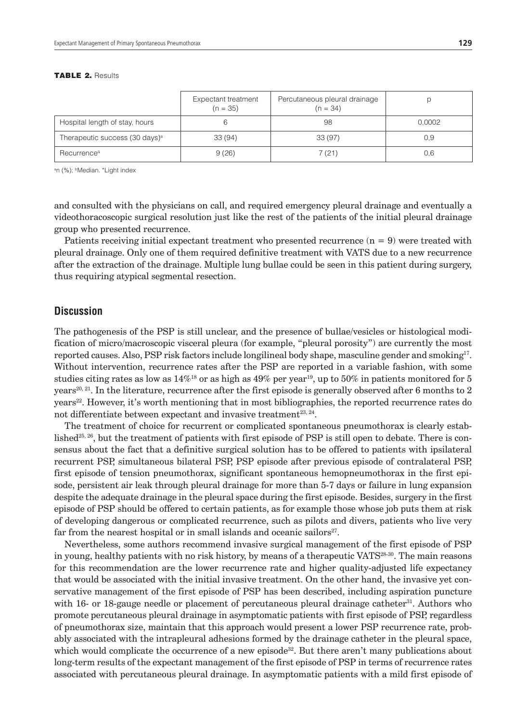#### TABLE 2. Results

|                                            | Expectant treatment<br>$(n = 35)$ | Percutaneous pleural drainage<br>$(n = 34)$ |        |
|--------------------------------------------|-----------------------------------|---------------------------------------------|--------|
| Hospital length of stay, hours             |                                   | 98                                          | 0.0002 |
| Therapeutic success (30 days) <sup>a</sup> | 33 (94)                           | 33 (97)                                     | 0.9    |
| Recurrence <sup>a</sup>                    | 9(26)                             | 7 (21)                                      | 0.6    |

a n (%); bMedian. \*Light index

and consulted with the physicians on call, and required emergency pleural drainage and eventually a videothoracoscopic surgical resolution just like the rest of the patients of the initial pleural drainage group who presented recurrence.

Patients receiving initial expectant treatment who presented recurrence  $(n = 9)$  were treated with pleural drainage. Only one of them required definitive treatment with VATS due to a new recurrence after the extraction of the drainage. Multiple lung bullae could be seen in this patient during surgery, thus requiring atypical segmental resection.

# **Discussion**

The pathogenesis of the PSP is still unclear, and the presence of bullae/vesicles or histological modification of micro/macroscopic visceral pleura (for example, "pleural porosity") are currently the most reported causes. Also, PSP risk factors include longilineal body shape, masculine gender and smoking<sup>17</sup>. Without intervention, recurrence rates after the PSP are reported in a variable fashion, with some studies citing rates as low as  $14\%$ <sup>18</sup> or as high as  $49\%$  per year<sup>19</sup>, up to 50% in patients monitored for 5 years<sup>20, 21</sup>. In the literature, recurrence after the first episode is generally observed after 6 months to 2 years<sup>22</sup>. However, it's worth mentioning that in most bibliographies, the reported recurrence rates do not differentiate between expectant and invasive treatment<sup>23, 24</sup>.

The treatment of choice for recurrent or complicated spontaneous pneumothorax is clearly established<sup>25, 26</sup>, but the treatment of patients with first episode of PSP is still open to debate. There is consensus about the fact that a definitive surgical solution has to be offered to patients with ipsilateral recurrent PSP, simultaneous bilateral PSP, PSP episode after previous episode of contralateral PSP, first episode of tension pneumothorax, significant spontaneous hemopneumothorax in the first episode, persistent air leak through pleural drainage for more than 5-7 days or failure in lung expansion despite the adequate drainage in the pleural space during the first episode. Besides, surgery in the first episode of PSP should be offered to certain patients, as for example those whose job puts them at risk of developing dangerous or complicated recurrence, such as pilots and divers, patients who live very far from the nearest hospital or in small islands and oceanic sailors $27$ .

Nevertheless, some authors recommend invasive surgical management of the first episode of PSP in young, healthy patients with no risk history, by means of a therapeutic VATS<sup>28-30</sup>. The main reasons for this recommendation are the lower recurrence rate and higher quality-adjusted life expectancy that would be associated with the initial invasive treatment. On the other hand, the invasive yet conservative management of the first episode of PSP has been described, including aspiration puncture with 16- or 18-gauge needle or placement of percutaneous pleural drainage catheter<sup>31</sup>. Authors who promote percutaneous pleural drainage in asymptomatic patients with first episode of PSP, regardless of pneumothorax size, maintain that this approach would present a lower PSP recurrence rate, probably associated with the intrapleural adhesions formed by the drainage catheter in the pleural space, which would complicate the occurrence of a new episode<sup>32</sup>. But there aren't many publications about long-term results of the expectant management of the first episode of PSP in terms of recurrence rates associated with percutaneous pleural drainage. In asymptomatic patients with a mild first episode of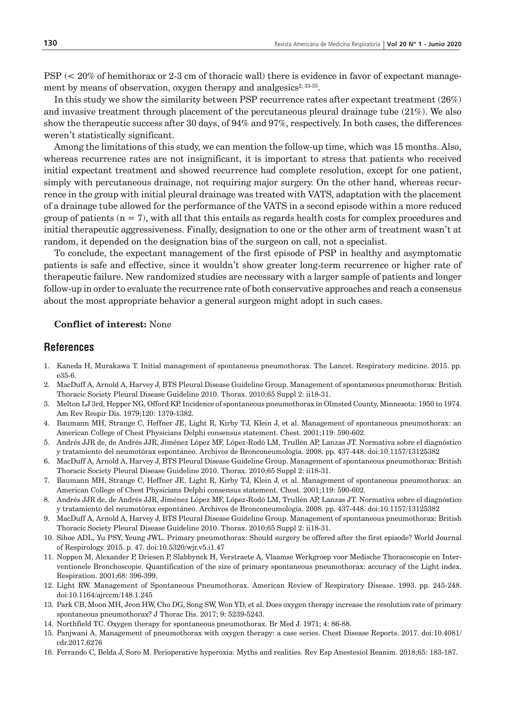PSP (< 20% of hemithorax or 2-3 cm of thoracic wall) there is evidence in favor of expectant management by means of observation, oxygen therapy and analgesics<sup>2, 33-35</sup>.

In this study we show the similarity between PSP recurrence rates after expectant treatment (26%) and invasive treatment through placement of the percutaneous pleural drainage tube (21%). We also show the therapeutic success after 30 days, of 94% and 97%, respectively. In both cases, the differences weren't statistically significant.

Among the limitations of this study, we can mention the follow-up time, which was 15 months. Also, whereas recurrence rates are not insignificant, it is important to stress that patients who received initial expectant treatment and showed recurrence had complete resolution, except for one patient, simply with percutaneous drainage, not requiring major surgery. On the other hand, whereas recurrence in the group with initial pleural drainage was treated with VATS, adaptation with the placement of a drainage tube allowed for the performance of the VATS in a second episode within a more reduced group of patients  $(n = 7)$ , with all that this entails as regards health costs for complex procedures and initial therapeutic aggressiveness. Finally, designation to one or the other arm of treatment wasn't at random, it depended on the designation bias of the surgeon on call, not a specialist.

To conclude, the expectant management of the first episode of PSP in healthy and asymptomatic patients is safe and effective, since it wouldn't show greater long-term recurrence or higher rate of therapeutic failure. New randomized studies are necessary with a larger sample of patients and longer follow-up in order to evaluate the recurrence rate of both conservative approaches and reach a consensus about the most appropriate behavior a general surgeon might adopt in such cases.

#### **Conflict of interest:** None

### **References**

- 1. Kaneda H, Murakawa T. Initial management of spontaneous pneumothorax. The Lancet. Respiratory medicine. 2015. pp. e35-6.
- 2. MacDuff A, Arnold A, Harvey J, BTS Pleural Disease Guideline Group. Management of spontaneous pneumothorax: British Thoracic Society Pleural Disease Guideline 2010. Thorax. 2010;65 Suppl 2: ii18-31.
- 3. Melton LJ 3rd, Hepper NG, Offord KP. Incidence of spontaneous pneumothorax in Olmsted County, Minnesota: 1950 to 1974. Am Rev Respir Dis. 1979;120: 1379-1382.
- 4. Baumann MH, Strange C, Heffner JE, Light R, Kirby TJ, Klein J, et al. Management of spontaneous pneumothorax: an American College of Chest Physicians Delphi consensus statement. Chest. 2001;119: 590-602.
- 5. Andrés JJR de, de Andrés JJR, Jiménez López MF, López-Rodó LM, Trullén AP, Lanzas JT. Normativa sobre el diagnóstico y tratamiento del neumotórax espontáneo. Archivos de Bronconeumología. 2008. pp. 437-448. doi:10.1157/13125382
- 6. MacDuff A, Arnold A, Harvey J, BTS Pleural Disease Guideline Group. Management of spontaneous pneumothorax: British Thoracic Society Pleural Disease Guideline 2010. Thorax. 2010;65 Suppl 2: ii18-31.
- 7. Baumann MH, Strange C, Heffner JE, Light R, Kirby TJ, Klein J, et al. Management of spontaneous pneumothorax: an American College of Chest Physicians Delphi consensus statement. Chest. 2001;119: 590-602.
- 8. Andrés JJR de, de Andrés JJR, Jiménez López MF, López-Rodó LM, Trullén AP, Lanzas JT. Normativa sobre el diagnóstico y tratamiento del neumotórax espontáneo. Archivos de Bronconeumología. 2008. pp. 437-448. doi:10.1157/13125382
- 9. MacDuff A, Arnold A, Harvey J, BTS Pleural Disease Guideline Group. Management of spontaneous pneumothorax: British Thoracic Society Pleural Disease Guideline 2010. Thorax. 2010;65 Suppl 2: ii18-31.
- 10. Sihoe ADL, Yu PSY, Yeung JWL. Primary pneumothorax: Should surgery be offered after the first episode? World Journal of Respirology. 2015. p. 47. doi:10.5320/wjr.v5.i1.47
- 11. Noppen M, Alexander P, Driesen P, Slabbynck H, Verstraete A, Vlaamse Werkgroep voor Medische Thoracoscopie en Interventionele Bronchoscopie. Quantification of the size of primary spontaneous pneumothorax: accuracy of the Light index. Respiration. 2001;68: 396-399.
- 12. Light RW. Management of Spontaneous Pneumothorax. American Review of Respiratory Disease. 1993. pp. 245-248. doi:10.1164/ajrccm/148.1.245
- 13. Park CB, Moon MH, Jeon HW, Cho DG, Song SW, Won YD, et al. Does oxygen therapy increase the resolution rate of primary spontaneous pneumothorax? J Thorac Dis. 2017; 9: 5239-5243.
- 14. Northfield TC. Oxygen therapy for spontaneous pneumothorax. Br Med J. 1971; 4: 86-88.
- 15. Panjwani A. Management of pneumothorax with oxygen therapy: a case series. Chest Disease Reports. 2017. doi:10.4081/ cdr.2017.6276
- 16. Ferrando C, Belda J, Soro M. Perioperative hyperoxia: Myths and realities. Rev Esp Anestesiol Reanim. 2018;65: 183-187.